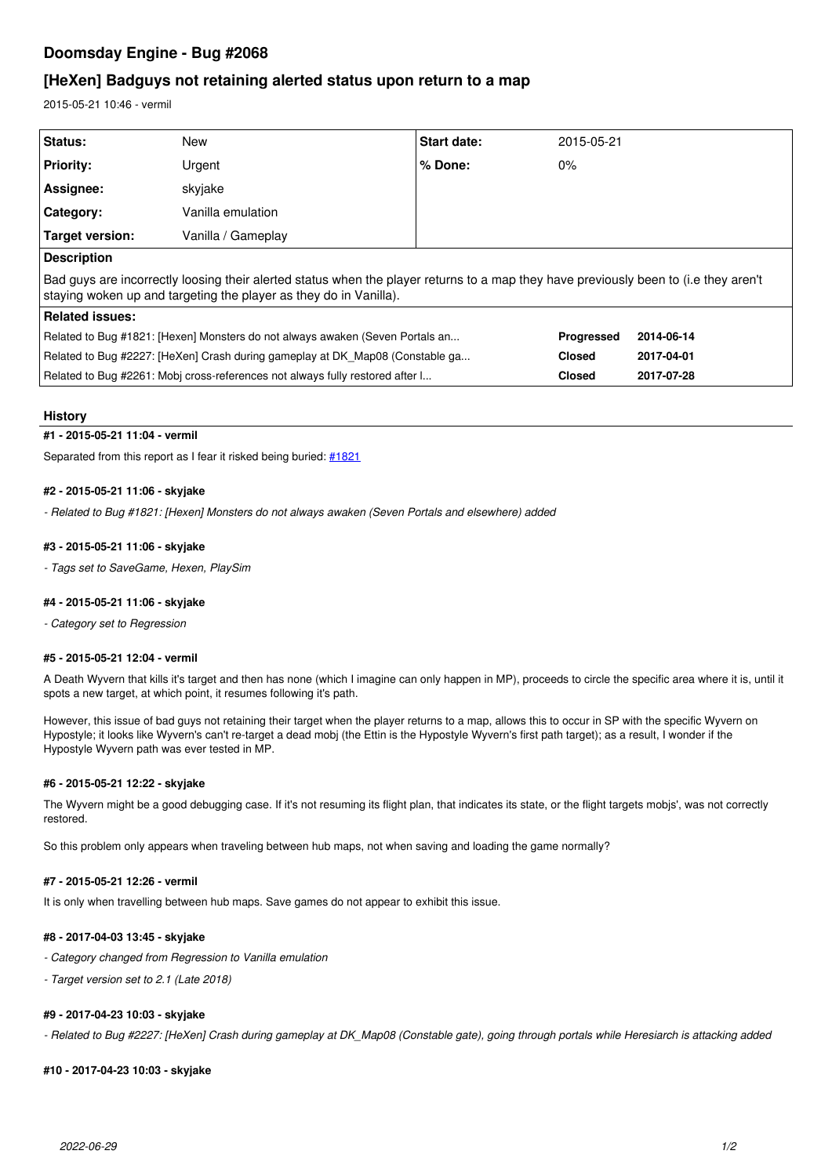# **Doomsday Engine - Bug #2068**

# **[HeXen] Badguys not retaining alerted status upon return to a map**

2015-05-21 10:46 - vermil

| Status:                                                                                                                                                                                                   | New                | <b>Start date:</b> | 2015-05-21    |            |
|-----------------------------------------------------------------------------------------------------------------------------------------------------------------------------------------------------------|--------------------|--------------------|---------------|------------|
| <b>Priority:</b>                                                                                                                                                                                          | Urgent             | % Done:            | $0\%$         |            |
| Assignee:                                                                                                                                                                                                 | skyjake            |                    |               |            |
| Category:                                                                                                                                                                                                 | Vanilla emulation  |                    |               |            |
| Target version:                                                                                                                                                                                           | Vanilla / Gameplay |                    |               |            |
| <b>Description</b>                                                                                                                                                                                        |                    |                    |               |            |
| Bad guys are incorrectly loosing their alerted status when the player returns to a map they have previously been to (i.e they aren't<br>staying woken up and targeting the player as they do in Vanilla). |                    |                    |               |            |
| Related issues:                                                                                                                                                                                           |                    |                    |               |            |
| Related to Bug #1821: [Hexen] Monsters do not always awaken (Seven Portals an                                                                                                                             |                    |                    | Progressed    | 2014-06-14 |
| Related to Bug #2227: [HeXen] Crash during gameplay at DK Map08 (Constable ga                                                                                                                             |                    |                    | <b>Closed</b> | 2017-04-01 |
| Related to Bug #2261: Mobi cross-references not always fully restored after I                                                                                                                             |                    |                    | <b>Closed</b> | 2017-07-28 |

#### **History**

#### **#1 - 2015-05-21 11:04 - vermil**

Separated from this report as I fear it risked being buried: [#1821](http://skyjake.fi/issues/1821)

### **#2 - 2015-05-21 11:06 - skyjake**

*- Related to Bug #1821: [Hexen] Monsters do not always awaken (Seven Portals and elsewhere) added*

## **#3 - 2015-05-21 11:06 - skyjake**

*- Tags set to SaveGame, Hexen, PlaySim*

### **#4 - 2015-05-21 11:06 - skyjake**

*- Category set to Regression*

#### **#5 - 2015-05-21 12:04 - vermil**

A Death Wyvern that kills it's target and then has none (which I imagine can only happen in MP), proceeds to circle the specific area where it is, until it spots a new target, at which point, it resumes following it's path.

However, this issue of bad guys not retaining their target when the player returns to a map, allows this to occur in SP with the specific Wyvern on Hypostyle; it looks like Wyvern's can't re-target a dead mobj (the Ettin is the Hypostyle Wyvern's first path target); as a result, I wonder if the Hypostyle Wyvern path was ever tested in MP.

#### **#6 - 2015-05-21 12:22 - skyjake**

The Wyvern might be a good debugging case. If it's not resuming its flight plan, that indicates its state, or the flight targets mobjs', was not correctly restored.

So this problem only appears when traveling between hub maps, not when saving and loading the game normally?

### **#7 - 2015-05-21 12:26 - vermil**

It is only when travelling between hub maps. Save games do not appear to exhibit this issue.

### **#8 - 2017-04-03 13:45 - skyjake**

- *Category changed from Regression to Vanilla emulation*
- *Target version set to 2.1 (Late 2018)*

### **#9 - 2017-04-23 10:03 - skyjake**

*- Related to Bug #2227: [HeXen] Crash during gameplay at DK\_Map08 (Constable gate), going through portals while Heresiarch is attacking added*

# **#10 - 2017-04-23 10:03 - skyjake**